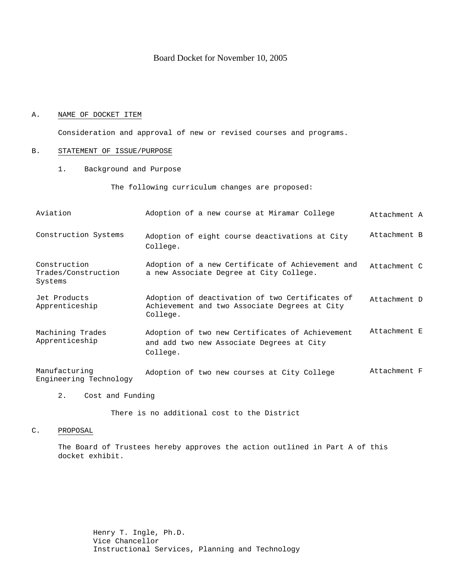# Board Docket for November 10, 2005

## A. NAME OF DOCKET ITEM

Consideration and approval of new or revised courses and programs.

## B. STATEMENT OF ISSUE/PURPOSE

1. Background and Purpose

The following curriculum changes are proposed:

| Aviation                                       | Adoption of a new course at Miramar College                                                                  | Attachment A |
|------------------------------------------------|--------------------------------------------------------------------------------------------------------------|--------------|
| Construction Systems                           | Adoption of eight course deactivations at City<br>College.                                                   | Attachment B |
| Construction<br>Trades/Construction<br>Systems | Adoption of a new Certificate of Achievement and<br>a new Associate Degree at City College.                  | Attachment C |
| Jet Products<br>Apprenticeship                 | Adoption of deactivation of two Certificates of<br>Achievement and two Associate Degrees at City<br>College. | Attachment D |
| Machining Trades<br>Apprenticeship             | Adoption of two new Certificates of Achievement<br>and add two new Associate Degrees at City<br>College.     | Attachment E |
| Manufacturing<br>Engineering Technology        | Adoption of two new courses at City College                                                                  | Attachment F |

2. Cost and Funding

There is no additional cost to the District

## C. PROPOSAL

The Board of Trustees hereby approves the action outlined in Part A of this docket exhibit.

> Henry T. Ingle, Ph.D. Vice Chancellor Instructional Services, Planning and Technology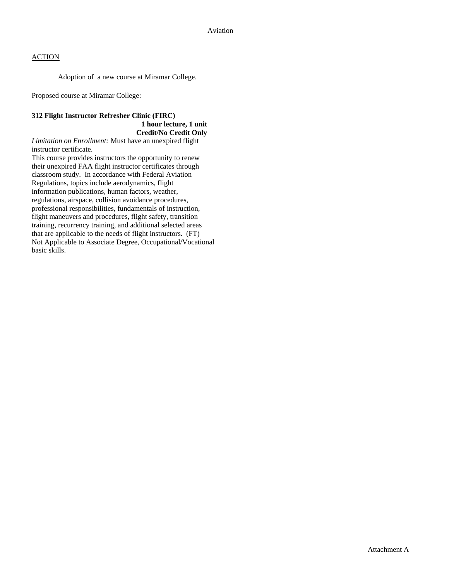Adoption of a new course at Miramar College.

Proposed course at Miramar College:

# **312 Flight Instructor Refresher Clinic (FIRC)**

## **1 hour lecture, 1 unit Credit/No Credit Only**

*Limitation on Enrollment:* Must have an unexpired flight instructor certificate.

This course provides instructors the opportunity to renew their unexpired FAA flight instructor certificates through classroom study. In accordance with Federal Aviation Regulations, topics include aerodynamics, flight information publications, human factors, weather, regulations, airspace, collision avoidance procedures, professional responsibilities, fundamentals of instruction, flight maneuvers and procedures, flight safety, transition training, recurrency training, and additional selected areas that are applicable to the needs of flight instructors. (FT) Not Applicable to Associate Degree, Occupational/Vocational basic skills.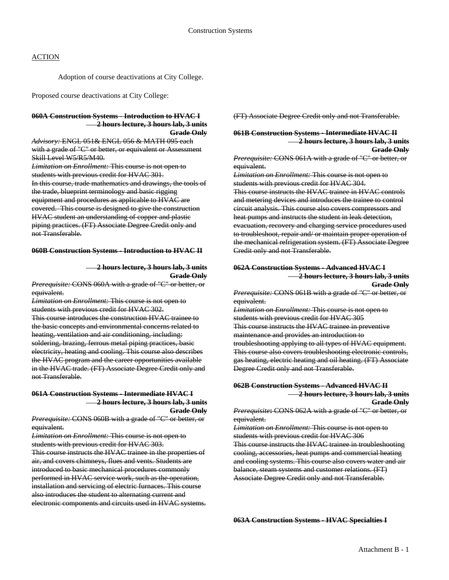Adoption of course deactivations at City College.

Proposed course deactivations at City College:

#### **060A Construction Systems - Introduction to HVAC I 2 hours lecture, 3 hours lab, 3 units Grade Only**

*Advisory:* ENGL 051& ENGL 056 & MATH 095 each with a grade of "C" or better, or equivalent or Assessment Skill Level W5/R5/M40.

*Limitation on Enrollment:* This course is not open to students with previous credit for HVAC 301.

In this course, trade mathematics and drawings, the tools of the trade, blueprint terminology and basic rigging equipment and procedures as applicable to HVAC are covered. This course is designed to give the construction HVAC student an understanding of copper and plastic piping practices. (FT) Associate Degree Credit only and not Transferable.

#### **060B Construction Systems - Introduction to HVAC II**

#### **2 hours lecture, 3 hours lab, 3 units Grade Only**

*Prerequisite:* CONS 060A with a grade of "C" or better, or equivalent.

*Limitation on Enrollment:* This course is not open to students with previous credit for HVAC 302. This course introduces the construction HVAC trainee to the basic concepts and environmental concerns related to heating, ventilation and air conditioning, including: soldering, brazing, ferrous metal piping practices, basic electricity, heating and cooling. This course also describes the HVAC program and the career opportunities available in the HVAC trade. (FT) Associate Degree Credit only and not Transferable.

# **061A Construction Systems - Intermediate HVAC I 2 hours lecture, 3 hours lab, 3 units**

**Grade Only**

*Prerequisite:* CONS 060B with a grade of "C" or better, or equivalent.

*Limitation on Enrollment:* This course is not open to students with previous credit for HVAC 303.

This course instructs the HVAC trainee in the properties of air, and covers chimneys, flues and vents. Students are introduced to basic mechanical procedures commonly performed in HVAC service work, such as the operation, installation and servicing of electric furnaces. This course also introduces the student to alternating current and electronic components and circuits used in HVAC systems. (FT) Associate Degree Credit only and not Transferable.

## **061B Construction Systems - Intermediate HVAC II 2 hours lecture, 3 hours lab, 3 units**

**Grade Only** 

*Prerequisite:* CONS 061A with a grade of "C" or better, or equivalent.

*Limitation on Enrollment:* This course is not open to students with previous credit for HVAC 304.

This course instructs the HVAC trainee in HVAC controls and metering devices and introduces the trainee to control circuit analysis. This course also covers compressors and heat pumps and instructs the student in leak detection, evacuation, recovery and charging service procedures used to troubleshoot, repair and/ or maintain proper operation of the mechanical refrigeration system. (FT) Associate Degree Credit only and not Transferable.

#### **062A Construction Systems - Advanced HVAC I 2 hours lecture, 3 hours lab, 3 units Grade Only**

*Prerequisite:* CONS 061B with a grade of "C" or better, or equivalent.

*Limitation on Enrollment:* This course is not open to students with previous credit for HVAC 305 This course instructs the HVAC trainee in preventive maintenance and provides an introduction to troubleshooting applying to all types of HVAC equipment. This course also covers troubleshooting electronic controls, gas heating, electric heating and oil heating. (FT) Associate Degree Credit only and not Transferable.

# **062B Construction Systems - Advanced HVAC II 2 hours lecture, 3 hours lab, 3 units**

**Grade Only**

*Prerequisite***:** CONS 062A with a grade of "C" or better, or equivalent.

*Limitation on Enrollment:* This course is not open to students with previous credit for HVAC 306 This course instructs the HVAC trainee in troubleshooting cooling, accessories, heat pumps and commercial heating and cooling systems. This course also covers water and air balance, steam systems and customer relations. (FT) Associate Degree Credit only and not Transferable.

**063A Construction Systems - HVAC Specialties I**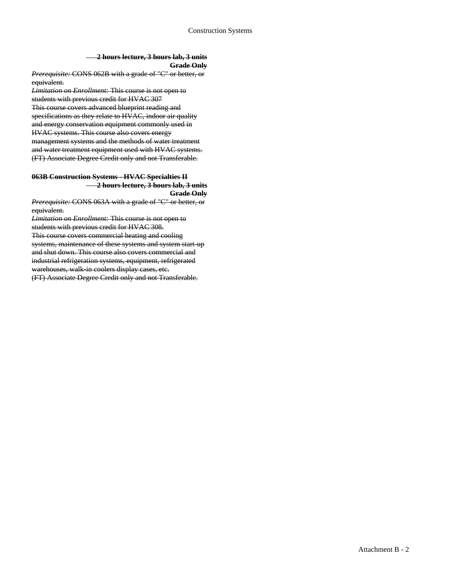#### **2 hours lecture, 3 hours lab, 3 units Grade Only**

*Prerequisite:* CONS 062B with a grade of "C" or better, or equivalent.

*Limitation on Enrollment:* This course is not open to students with previous credit for HVAC 307 This course covers advanced blueprint reading and specifications as they relate to HVAC, indoor air quality and energy conservation equipment commonly used in HVAC systems. This course also covers energy management systems and the methods of water treatment and water treatment equipment used with HVAC systems. (FT) Associate Degree Credit only and not Transferable.

#### **063B Construction Systems - HVAC Specialties II 2 hours lecture, 3 hours lab, 3 units Grade Only**

*Prerequisite:* CONS 063A with a grade of "C" or better, or equivalent.

*Limitation on Enrollment:* This course is not open to students with previous credit for HVAC 308. This course covers commercial heating and cooling systems, maintenance of these systems and system start-up and shut down. This course also covers commercial and industrial refrigeration systems, equipment, refrigerated warehouses, walk in coolers display cases, etc. (FT) Associate Degree Credit only and not Transferable.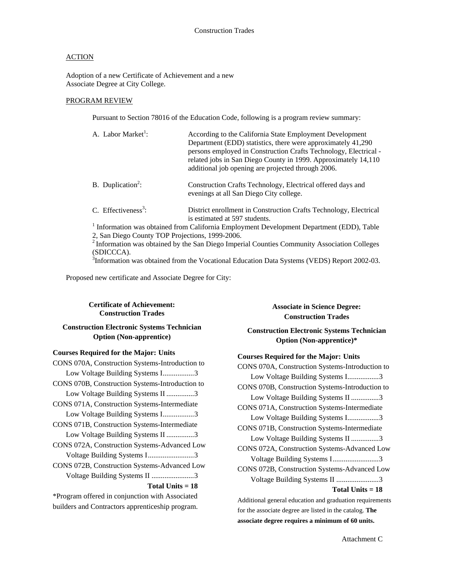Adoption of a new Certificate of Achievement and a new Associate Degree at City College.

## PROGRAM REVIEW

Pursuant to Section 78016 of the Education Code, following is a program review summary:

| A. Labor Market <sup>1</sup> :                  | According to the California State Employment Development<br>Department (EDD) statistics, there were approximately 41,290<br>persons employed in Construction Crafts Technology, Electrical -<br>related jobs in San Diego County in 1999. Approximately 14,110<br>additional job opening are projected through 2006. |
|-------------------------------------------------|----------------------------------------------------------------------------------------------------------------------------------------------------------------------------------------------------------------------------------------------------------------------------------------------------------------------|
| B. Duplication <sup>2</sup> :                   | Construction Crafts Technology, Electrical offered days and<br>evenings at all San Diego City college.                                                                                                                                                                                                               |
| C. Effectiveness <sup>3</sup> :                 | District enrollment in Construction Crafts Technology, Electrical<br>is estimated at 597 students.                                                                                                                                                                                                                   |
|                                                 | <sup>1</sup> Information was obtained from California Employment Development Department (EDD), Table                                                                                                                                                                                                                 |
| 2, San Diego County TOP Projections, 1999-2006. |                                                                                                                                                                                                                                                                                                                      |
|                                                 | <sup>2</sup> Information was obtained by the San Diago Imparial Counties Community Association Collages                                                                                                                                                                                                              |

2 Information was obtained by the San Diego Imperial Counties Community Association Colleges (SDICCCA).

<sup>3</sup>Information was obtained from the Vocational Education Data Systems (VEDS) Report 2002-03.

Proposed new certificate and Associate Degree for City:

## **Certificate of Achievement: Construction Trades**

## **Construction Electronic Systems Technician Option (Non-apprentice)**

## **Courses Required for the Major: Units**

| CONS 070A, Construction Systems-Introduction to |
|-------------------------------------------------|
| Low Voltage Building Systems I3                 |
| CONS 070B, Construction Systems-Introduction to |
| Low Voltage Building Systems II 3               |
| CONS 071A, Construction Systems-Intermediate    |
| Low Voltage Building Systems I3                 |
| CONS 071B, Construction Systems-Intermediate    |
| Low Voltage Building Systems II 3               |
| CONS 072A, Construction Systems-Advanced Low    |
| Voltage Building Systems I3                     |
| CONS 072B, Construction Systems-Advanced Low    |
| Voltage Building Systems II 3                   |
| Total Units $= 18$                              |
| *Program offered in conjunction with Associated |

\*Program offered in conjunction with Associated builders and Contractors apprenticeship program.

# **Associate in Science Degree: Construction Trades**

**Construction Electronic Systems Technician Option (Non-apprentice)\*** 

## **Courses Required for the Major: Units**

CONS 070A, Construction Systems-Introduction to Low Voltage Building Systems I.................3 CONS 070B, Construction Systems-Introduction to Low Voltage Building Systems II ...............3 CONS 071A, Construction Systems-Intermediate Low Voltage Building Systems I.................3 CONS 071B, Construction Systems-Intermediate Low Voltage Building Systems II ...............3 CONS 072A, Construction Systems-Advanced Low Voltage Building Systems I.........................3 CONS 072B, Construction Systems-Advanced Low Voltage Building Systems II .......................3 **Total Units = 18** Additional general education and graduation requirements

for the associate degree are listed in the catalog. **The associate degree requires a minimum of 60 units.**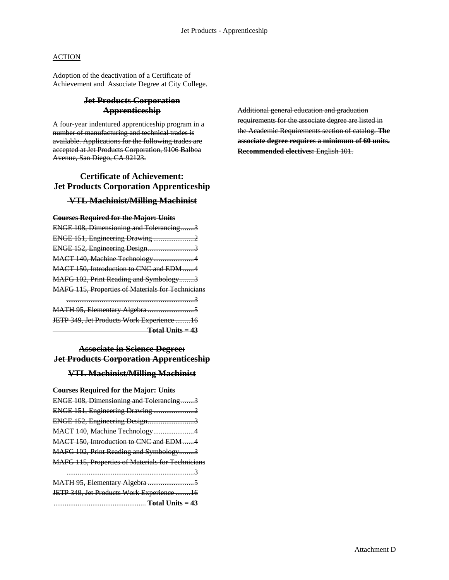Adoption of the deactivation of a Certificate of Achievement and Associate Degree at City College.

# **Jet Products Corporation Apprenticeship**

A four-year indentured apprenticeship program in a number of manufacturing and technical trades is available. Applications for the following trades are accepted at Jet Products Corporation, 9106 Balboa Avenue, San Diego, CA 92123.

# **Certificate of Achievement: Jet Products Corporation Apprenticeship**

# **VTL Machinist/Milling Machinist**

#### **Courses Required for the Major: Units**

| ENGE 108, Dimensioning and Tolerancing3                  |  |
|----------------------------------------------------------|--|
| ENGE 151, Engineering Drawing 2                          |  |
| ENGE 152, Engineering Design3                            |  |
| MACT 140, Machine Technology4                            |  |
| MACT 150, Introduction to CNC and EDM 4                  |  |
| MAFG 102, Print Reading and Symbology3                   |  |
| <b>MAFG 115, Properties of Materials for Technicians</b> |  |
| 3                                                        |  |
|                                                          |  |
| JETP 349, Jet Products Work Experience 16                |  |
| $Total Units = 43$                                       |  |

# **Associate in Science Degree: Jet Products Corporation Apprenticeship**

# **VTL Machinist/Milling Machinist**

## **Courses Required for the Major: Units**

| ENGE 108, Dimensioning and Tolerancing3           |  |
|---------------------------------------------------|--|
| ENGE 151, Engineering Drawing2                    |  |
| ENGE 152, Engineering Design3                     |  |
| MACT 140, Machine Technology4                     |  |
| MACT 150, Introduction to CNC and EDM 4           |  |
| MAFG 102, Print Reading and Symbology3            |  |
| MAFG 115, Properties of Materials for Technicians |  |
|                                                   |  |
|                                                   |  |
| JETP 349, Jet Products Work Experience 16         |  |
|                                                   |  |

Additional general education and graduation requirements for the associate degree are listed in the Academic Requirements section of catalog. **The associate degree requires a minimum of 60 units. Recommended electives:** English 101.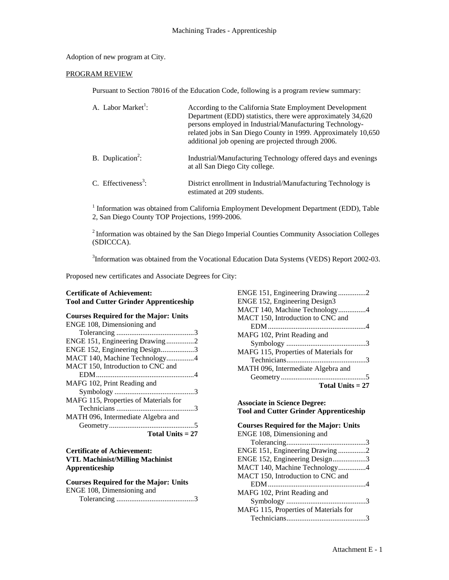## Adoption of new program at City.

#### PROGRAM REVIEW

Pursuant to Section 78016 of the Education Code, following is a program review summary:

| A. Labor Market <sup>1</sup> :  | According to the California State Employment Development<br>Department (EDD) statistics, there were approximately 34,620<br>persons employed in Industrial/Manufacturing Technology-<br>related jobs in San Diego County in 1999. Approximately 10,650<br>additional job opening are projected through 2006. |
|---------------------------------|--------------------------------------------------------------------------------------------------------------------------------------------------------------------------------------------------------------------------------------------------------------------------------------------------------------|
| B. Duplication <sup>2</sup> :   | Industrial/Manufacturing Technology offered days and evenings<br>at all San Diego City college.                                                                                                                                                                                                              |
| C. Effectiveness <sup>3</sup> : | District enrollment in Industrial/Manufacturing Technology is<br>estimated at 209 students.                                                                                                                                                                                                                  |

<sup>1</sup> Information was obtained from California Employment Development Department (EDD), Table 2, San Diego County TOP Projections, 1999-2006.

2 Information was obtained by the San Diego Imperial Counties Community Association Colleges (SDICCCA).

<sup>3</sup>Information was obtained from the Vocational Education Data Systems (VEDS) Report 2002-03.

Proposed new certificates and Associate Degrees for City:

## **Certificate of Achievement: Tool and Cutter Grinder Apprenticeship**

| <b>Courses Required for the Major: Units</b> |
|----------------------------------------------|
| ENGE 108, Dimensioning and                   |
|                                              |
| ENGE 151, Engineering Drawing2               |
| ENGE 152, Engineering Design3                |
| MACT 140, Machine Technology4                |
| MACT 150, Introduction to CNC and            |
|                                              |
| MAFG 102, Print Reading and                  |
|                                              |
| MAFG 115, Properties of Materials for        |
|                                              |
| MATH 096, Intermediate Algebra and           |
|                                              |
| Total Units $= 27$                           |

### **Certificate of Achievement: VTL Machinist/Milling Machinist Apprenticeship**

| <b>Courses Required for the Major: Units</b> |
|----------------------------------------------|
| ENGE 108, Dimensioning and                   |
|                                              |

| ENGE 151, Engineering Drawing 2       |
|---------------------------------------|
| ENGE 152, Engineering Design3         |
| MACT 140, Machine Technology4         |
| MACT 150, Introduction to CNC and     |
|                                       |
| MAFG 102, Print Reading and           |
|                                       |
| MAFG 115, Properties of Materials for |
|                                       |
| MATH 096, Intermediate Algebra and    |
|                                       |
| Total Units $= 27$                    |

### **Associate in Science Degree: Tool and Cutter Grinder Apprenticeship**

# **Courses Required for the Major: Units**  ENGE 108, Dimensioning and Tolerancing...........................................3 ENGE 151, Engineering Drawing ...............2 ENGE 152, Engineering Design..................3 MACT 140, Machine Technology...............4 MACT 150, Introduction to CNC and EDM.....................................................4 MAFG 102, Print Reading and Symbology ...........................................3 MAFG 115, Properties of Materials for Technicians...........................................3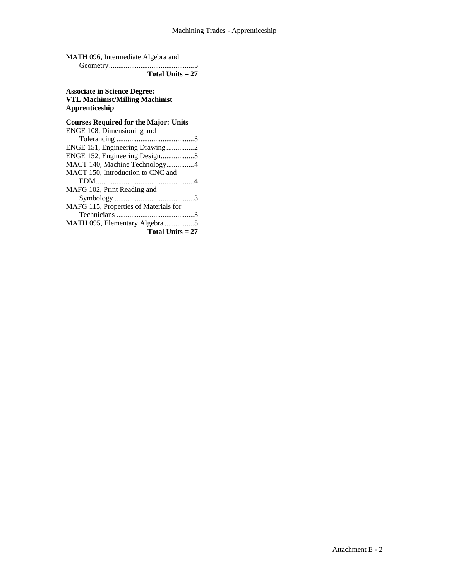| MATH 096, Intermediate Algebra and |  |
|------------------------------------|--|
|                                    |  |
| Total Units $= 27$                 |  |

## **Associate in Science Degree: VTL Machinist/Milling Machinist Apprenticeship**

# **Courses Required for the Major: Units**  ENGE 108, Dimensioning and

| ENGE 151, Engineering Drawing2        |
|---------------------------------------|
| ENGE 152, Engineering Design3         |
| MACT 140, Machine Technology4         |
| MACT 150, Introduction to CNC and     |
|                                       |
| MAFG 102, Print Reading and           |
|                                       |
| MAFG 115, Properties of Materials for |
|                                       |
| MATH 095, Elementary Algebra 5        |
| Total Units $= 27$                    |